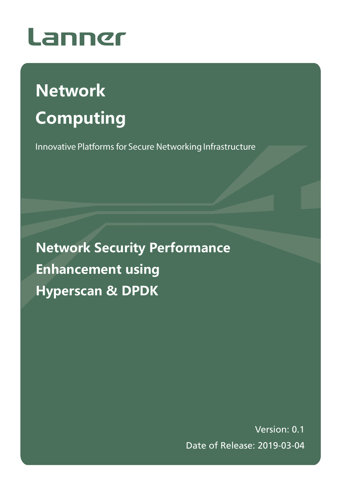

# **Network Computing**

Innovative Platforms for Secure Networking Infrastructure

**Network Security Performance Enhancement using Hyperscan & DPDK**

> Version: 0.1 Date of Release: 2019-03-04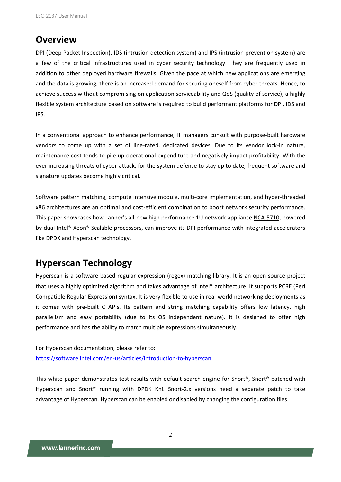### **Overview**

DPI (Deep Packet Inspection), IDS (intrusion detection system) and IPS (intrusion prevention system) are a few of the critical infrastructures used in cyber security technology. They are frequently used in addition to other deployed hardware firewalls. Given the pace at which new applications are emerging and the data is growing, there is an increased demand for securing oneself from cyber threats. Hence, to achieve success without compromising on application serviceability and QoS (quality of service), a highly flexible system architecture based on software is required to build performant platforms for DPI, IDS and IPS.

In a conventional approach to enhance performance, IT managers consult with purpose-built hardware vendors to come up with a set of line-rated, dedicated devices. Due to its vendor lock-in nature, maintenance cost tends to pile up operational expenditure and negatively impact profitability. With the ever increasing threats of cyber-attack, for the system defense to stay up to date, frequent software and signature updates become highly critical.

Software pattern matching, compute intensive module, multi-core implementation, and hyper-threaded x86 architectures are an optimal and cost-efficient combination to boost network security performance. This paper showcases how Lanner's all-new high performance 1U network appliance [NCA-5710,](http://www.lannerinc.com/products/network-appliances/x86-rackmount-network-appliances/nca-5710) powered by dual Intel® Xeon® Scalable processors, can improve its DPI performance with integrated accelerators like DPDK and Hyperscan technology.

### **Hyperscan Technology**

Hyperscan is a software based regular expression (regex) matching library. It is an open source project that uses a highly optimized algorithm and takes advantage of Intel® architecture. It supports PCRE (Perl Compatible Regular Expression) syntax. It is very flexible to use in real-world networking deployments as it comes with pre-built C APIs. Its pattern and string matching capability offers low latency, high parallelism and easy portability (due to its OS independent nature). It is designed to offer high performance and has the ability to match multiple expressions simultaneously.

For Hyperscan documentation, please refer to: <https://software.intel.com/en-us/articles/introduction-to-hyperscan>

This white paper demonstrates test results with default search engine for Snort®, Snort® patched with Hyperscan and Snort® running with DPDK Kni. Snort-2.x versions need a separate patch to take advantage of Hyperscan. Hyperscan can be enabled or disabled by changing the configuration files.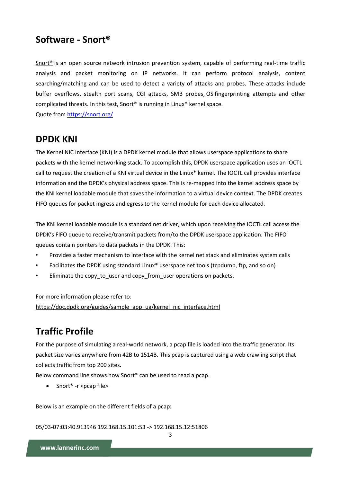### **Software - Snort®**

[Snort®](https://www.snort.org/) is an open source network intrusion prevention system, capable of performing real-time traffic analysis and packet monitoring on IP networks. It can perform protocol analysis, content searching/matching and can be used to detect a variety of attacks and probes. These attacks include buffer overflows, stealth port scans, CGI attacks, SMB probes, OS fingerprinting attempts and other complicated threats. In this test, Snort® is running in Linux\* kernel space.

Quote from<https://snort.org/>

### **DPDK KNI**

The Kernel NIC Interface (KNI) is a DPDK kernel module that allows userspace applications to share packets with the kernel networking stack. To accomplish this, DPDK userspace application uses an IOCTL call to request the creation of a KNI virtual device in the Linux\* kernel. The IOCTL call provides interface information and the DPDK's physical address space. This is re-mapped into the kernel address space by the KNI kernel loadable module that saves the information to a virtual device context. The DPDK creates FIFO queues for packet ingress and egress to the kernel module for each device allocated.

The KNI kernel loadable module is a standard net driver, which upon receiving the IOCTL call access the DPDK's FIFO queue to receive/transmit packets from/to the DPDK userspace application. The FIFO queues contain pointers to data packets in the DPDK. This:

- Provides a faster mechanism to interface with the kernel net stack and eliminates system calls
- Facilitates the DPDK using standard Linux\* userspace net tools (tcpdump, ftp, and so on)
- Eliminate the copy\_to\_user and copy\_from\_user operations on packets.

For more information please refer to: [https://doc.dpdk.org/guides/sample\\_app\\_ug/kernel\\_nic\\_interface.html](https://doc.dpdk.org/guides/sample_app_ug/kernel_nic_interface.html)

### **Traffic Profile**

For the purpose of simulating a real-world network, a pcap file is loaded into the traffic generator. Its packet size varies anywhere from 42B to 1514B. This pcap is captured using a web crawling script that collects traffic from top 200 sites.

Below command line shows how Snort® can be used to read a pcap.

 $\bullet$  Snort® -r <pcap file>

Below is an example on the different fields of a pcap:

05/03-07:03:40.913946 192.168.15.101:53 -> 192.168.15.12:51806

3

www.lannerinc.com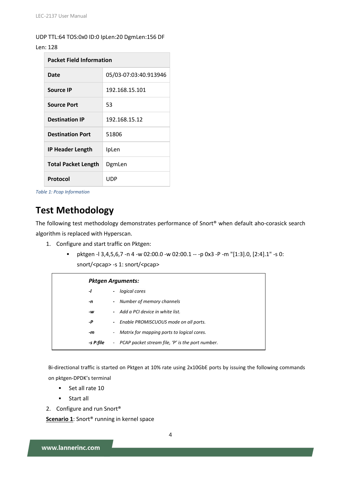UDP TTL:64 TOS:0x0 ID:0 IpLen:20 DgmLen:156 DF

#### Len: 128

| <b>Packet Field Information</b> |                       |  |  |  |
|---------------------------------|-----------------------|--|--|--|
| Date                            | 05/03-07:03:40.913946 |  |  |  |
| Source IP                       | 192.168.15.101        |  |  |  |
| <b>Source Port</b>              | 53                    |  |  |  |
| <b>Destination IP</b>           | 192.168.15.12         |  |  |  |
| <b>Destination Port</b>         | 51806                 |  |  |  |
| <b>IP Header Length</b>         | IpLen                 |  |  |  |
| <b>Total Packet Length</b>      | DgmLen                |  |  |  |
| Protocol                        | UDP                   |  |  |  |

*Table 1: Pcap Information*

### **Test Methodology**

The following test methodology demonstrates performance of Snort® when default aho-corasick search algorithm is replaced with Hyperscan.

- 1. Configure and start traffic on Pktgen:
	- **•** pktgen -l 3,4,5,6,7 -n 4 -w 02:00.0 -w 02:00.1 -- -p 0x3 -P -m "[1:3].0, [2:4].1" -s 0: snort/<pcap> -s 1: snort/<pcap>

|           | <b>Pktgen Arguments:</b>                                           |  |  |  |  |
|-----------|--------------------------------------------------------------------|--|--|--|--|
| -1        | logical cores<br>$\overline{\phantom{a}}$                          |  |  |  |  |
| -n        | - Number of memory channels                                        |  |  |  |  |
| -w        | - Add a PCI device in white list.                                  |  |  |  |  |
| -P        | - Enable PROMISCUOUS mode on all ports.                            |  |  |  |  |
| -m        | - Matrix for mapping ports to logical cores.                       |  |  |  |  |
| -s P:file | PCAP packet stream file, 'P' is the port number.<br>$\blacksquare$ |  |  |  |  |

Bi-directional traffic is started on Pktgen at 10% rate using 2x10GbE ports by issuing the following commands on pktgen-DPDK's terminal

- Set all rate 10
- **Start all**
- 2. Configure and run Snort<sup>®</sup>

**Scenario 1:** Snort<sup>®</sup> running in kernel space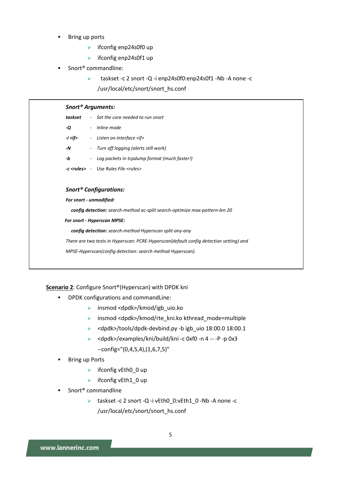- Bring up ports
	- $\triangleright$  ifconfig enp24s0f0 up
	- $\triangleright$  ifconfig enp24s0f1 up
- Snort® commandline:
	- taskset -c 2 snort -Q -i enp24s0f0:enp24s0f1 -Nb -A none -c

/usr/local/etc/snort/snort\_hs.conf

| Snort <sup>®</sup> Arguments: |  |                                                            |  |  |  |
|-------------------------------|--|------------------------------------------------------------|--|--|--|
| taskset                       |  | - Set the core needed to run snort                         |  |  |  |
| -Q                            |  | - Inline mode                                              |  |  |  |
| -i <if></if>                  |  | - Listen on interface <if></if>                            |  |  |  |
| -N                            |  | - Turn off logging (alerts still work)                     |  |  |  |
| -b                            |  | - Log packets in tcpdump format (much faster!)             |  |  |  |
|                               |  | <b>-c <rules></rules></b> - Use Rules File <rules></rules> |  |  |  |
|                               |  |                                                            |  |  |  |

#### *Snort® Configurations:*

*For snort - unmodified:* 

*config detection: search-method ac-split search-optimize max-pattern-len 20*

#### *For snort - Hyperscan MPSE:*

*config detection: search-method Hyperscan split-any-any*

*There are two tests in Hyperscan: PCRE-Hyperscan(default config detection setting) and* 

*MPSE-Hyperscan(config detection: search method Hyperscan).*

#### **Scenario 2**: Configure Snort®(Hyperscan) with DPDK kni

- **•** DPDK configurations and commandLine:
	- insmod <dpdk>/kmod/igb\_uio.ko
	- $\triangleright$  insmod <dpdk>/kmod/rte\_kni.ko kthread\_mode=multiple
	- > <dpdk>/tools/dpdk-devbind.py -b igb\_uio 18:00.0 18:00.1
	- $\triangleright$  <dpdk>/examples/kni/build/kni -c 0xf0 -n 4 -- -P -p 0x3
	- --config="(0,4,5,4),(1,6,7,5)"
- Bring up Ports
	- $\triangleright$  ifconfig vEth0\_0 up
	- $\triangleright$  ifconfig vEth1 0 up
- Snort® commandline
	- taskset -c 2 snort -Q -i vEth0\_0:vEth1\_0 -Nb -A none -c /usr/local/etc/snort/snort\_hs.conf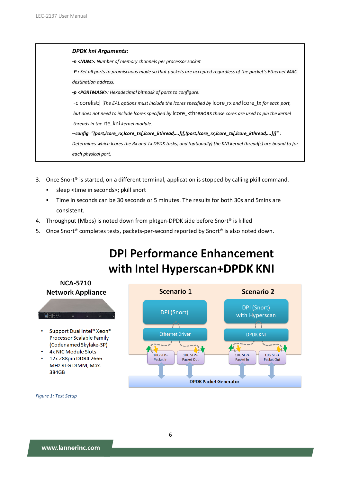*DPDK kni Arguments: -n <NUM>: Number of memory channels per processor socket -P : Set all ports to promiscuous mode so that packets are accepted regardless of the packet's Ethernet MAC destination address. -p <PORTMASK>: Hexadecimal bitmask of ports to configure.* -c corelist: *The EAL options must include the lcores specified by* lcore\_rx *and* lcore\_tx *for each port, but does not need to include lcores specified by* lcore\_kthreadas *those cores are used to pin the kernel threads in the* rte\_kni *kernel module. --config="(port,lcore\_rx,lcore\_tx[,lcore\_kthread,...])[,(port,lcore\_rx,lcore\_tx[,lcore\_kthread,...])]" : Determines which lcores the Rx and Tx DPDK tasks, and (optionally) the KNI kernel thread(s) are bound to for each physical port.*

- 3. Once Snort® is started, on a different terminal, application is stopped by calling pkill command.
	- sleep <time in seconds>; pkill snort
	- Time in seconds can be 30 seconds or 5 minutes. The results for both 30s and 5mins are consistent.
- 4. Throughput (Mbps) is noted down from pktgen-DPDK side before Snort<sup>®</sup> is killed
- 5. Once Snort<sup>®</sup> completes tests, packets-per-second reported by Snort<sup>®</sup> is also noted down.

# **DPI Performance Enhancement** with Intel Hyperscan+DPDK KNI



*Figure 1: Test Setup*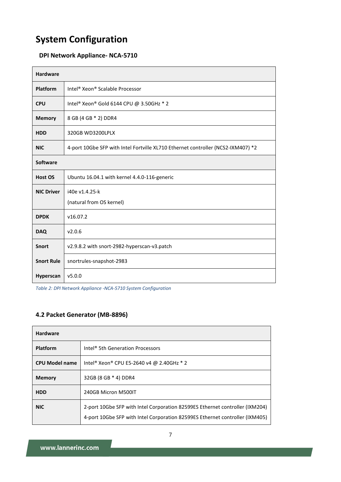## **System Configuration**

#### **DPI Network Appliance- NCA-5710**

| <b>Hardware</b>   |                                                                                  |  |  |  |
|-------------------|----------------------------------------------------------------------------------|--|--|--|
| Platform          | Intel <sup>®</sup> Xeon <sup>®</sup> Scalable Processor                          |  |  |  |
| <b>CPU</b>        | Intel® Xeon® Gold 6144 CPU @ 3.50GHz * 2                                         |  |  |  |
| <b>Memory</b>     | 8 GB (4 GB * 2) DDR4                                                             |  |  |  |
| <b>HDD</b>        | 320GB WD3200LPLX                                                                 |  |  |  |
| <b>NIC</b>        | 4-port 10Gbe SFP with Intel Fortville XL710 Ethernet controller (NCS2-IXM407) *2 |  |  |  |
| <b>Software</b>   |                                                                                  |  |  |  |
| <b>Host OS</b>    | Ubuntu 16.04.1 with kernel 4.4.0-116-generic                                     |  |  |  |
| <b>NIC Driver</b> | i40e v1.4.25-k<br>(natural from OS kernel)                                       |  |  |  |
| <b>DPDK</b>       | v16.07.2                                                                         |  |  |  |
| <b>DAQ</b>        | v2.0.6                                                                           |  |  |  |
| <b>Snort</b>      | v2.9.8.2 with snort-2982-hyperscan-v3.patch                                      |  |  |  |
| <b>Snort Rule</b> | snortrules-snapshot-2983                                                         |  |  |  |
| <b>Hyperscan</b>  | v5.0.0                                                                           |  |  |  |

*Table 2: DPI Network Appliance -NCA-5710 System Configuration*

#### **4.2 Packet Generator (MB-8896)**

| <b>Hardware</b>       |                                                                                                                                                              |
|-----------------------|--------------------------------------------------------------------------------------------------------------------------------------------------------------|
| <b>Platform</b>       | Intel <sup>®</sup> 5th Generation Processors                                                                                                                 |
| <b>CPU Model name</b> | Intel <sup>®</sup> Xeon® CPU E5-2640 v4 @ 2.40GHz * 2                                                                                                        |
| <b>Memory</b>         | 32GB (8 GB * 4) DDR4                                                                                                                                         |
| <b>HDD</b>            | 240GB Micron M500IT                                                                                                                                          |
| <b>NIC</b>            | 2-port 10Gbe SFP with Intel Corporation 82599ES Ethernet controller (IXM204)<br>4-port 10Gbe SFP with Intel Corporation 82599ES Ethernet controller (IXM405) |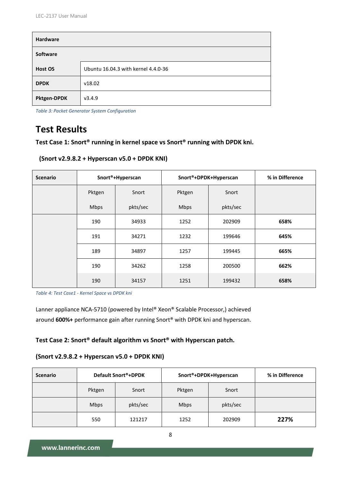| <b>Hardware</b> |                                     |
|-----------------|-------------------------------------|
| Software        |                                     |
| Host OS         | Ubuntu 16.04.3 with kernel 4.4.0-36 |
| <b>DPDK</b>     | v18.02                              |
| Pktgen-DPDK     | v3.4.9                              |

*Table 3: Packet Generator System Configuration*

### **Test Results**

**Test Case 1: Snort® running in kernel space vs Snort® running with DPDK kni.**

```
(Snort v2.9.8.2 + Hyperscan v5.0 + DPDK KNI)
```

| <b>Scenario</b> | Snort <sup>®</sup> +Hyperscan |          | Snort®+DPDK+Hyperscan |          | % in Difference |
|-----------------|-------------------------------|----------|-----------------------|----------|-----------------|
|                 | Pktgen                        | Snort    | Pktgen                | Snort    |                 |
|                 | Mbps                          | pkts/sec | Mbps                  | pkts/sec |                 |
|                 | 190                           | 34933    | 1252                  | 202909   | 658%            |
|                 | 191                           | 34271    | 1232                  | 199646   | 645%            |
|                 | 189                           | 34897    | 1257                  | 199445   | 665%            |
|                 | 190                           | 34262    | 1258                  | 200500   | 662%            |
|                 | 190                           | 34157    | 1251                  | 199432   | 658%            |

*Table 4: Test Case1 - Kernel Space vs DPDK kni*

Lanner appliance NCA-5710 (powered by Intel® Xeon® Scalable Processor,) achieved around **600%+** performance gain after running Snort® with DPDK kni and hyperscan.

#### **Test Case 2: Snort® default algorithm vs Snort® with Hyperscan patch.**

#### **(Snort v2.9.8.2 + Hyperscan v5.0 + DPDK KNI)**

| <b>Scenario</b> | Default Snort®+DPDK |          | Snort®+DPDK+Hyperscan |          | % in Difference |
|-----------------|---------------------|----------|-----------------------|----------|-----------------|
|                 | Pktgen              | Snort    | Pktgen                | Snort    |                 |
|                 | <b>Mbps</b>         | pkts/sec | <b>Mbps</b>           | pkts/sec |                 |
|                 | 550                 | 121217   | 1252                  | 202909   | 227%            |